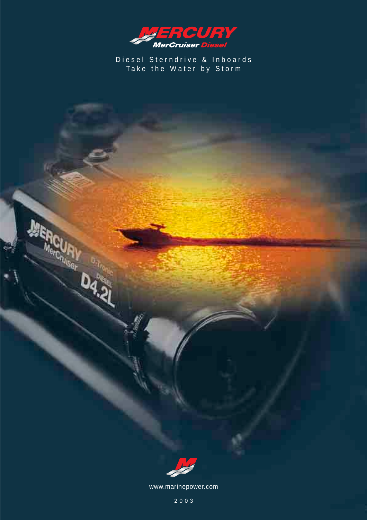

Diesel Sterndrive & Inboards Take the Water by Stor m



www.marinepower.com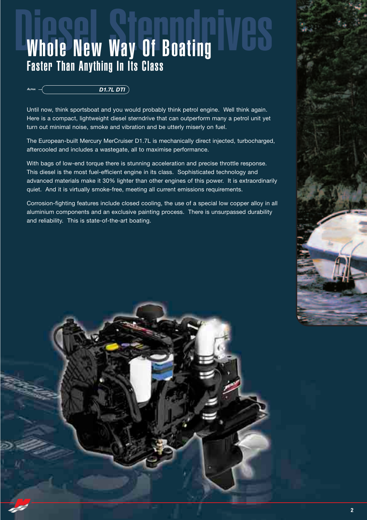## Whole New Way Of Boating Faster Than Anything In Its Class

#### *ALPHA D1.7L DTI*

Until now, think sportsboat and you would probably think petrol engine. Well think again. Here is a compact, lightweight diesel sterndrive that can outperform many a petrol unit yet turn out minimal noise, smoke and vibration and be utterly miserly on fuel.

The European-built Mercury MerCruiser D1.7L is mechanically direct injected, turbocharged, aftercooled and includes a wastegate, all to maximise performance.

With bags of low-end torque there is stunning acceleration and precise throttle response. This diesel is the most fuel-efficient engine in its class. Sophisticated technology and advanced materials make it 30% lighter than other engines of this power. It is extraordinarily quiet. And it is virtually smoke-free, meeting all current emissions requirements.

Corrosion-fighting features include closed cooling, the use of a special low copper alloy in all aluminium components and an exclusive painting process. There is unsurpassed durability and reliability. This is state-of-the-art boating.

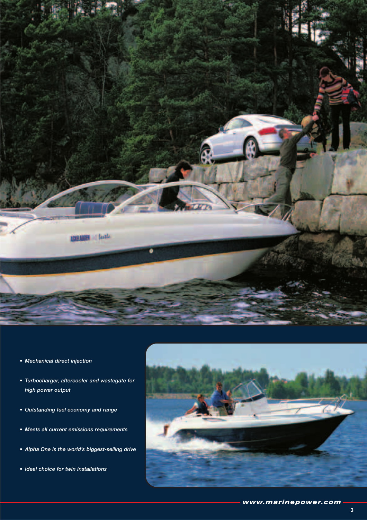

- *Mechanical direct injection*
- *Turbocharger, aftercooler and wastegate for high power output*
- *Outstanding fuel economy and range*
- *Meets all current emissions requirements*
- *Alpha One is the world's biggest-selling drive*
- *Ideal choice for twin installations*

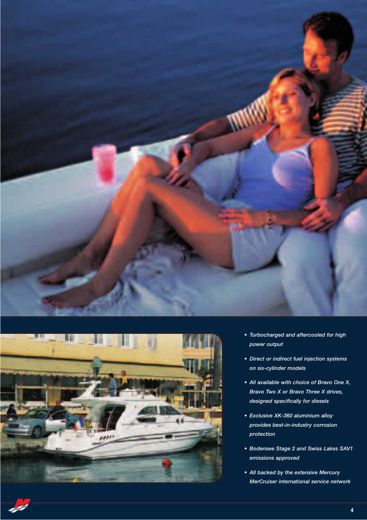



- *Turbocharged and aftercooled for high power output*
- *Direct or indirect fuel injection systems on six-cylinder models*
- *All available with choice of Bravo One X, Bravo Two X or Bravo Three X drives, designed specifically for diesels*
- *Exclusive XK-360 aluminium alloy provides best-in-industry corrosion protection*
- *Bodensee Stage 2 and Swiss Lakes SAV1 emissions approved*
- *All backed by the extensive Mercury MerCruiser international service network*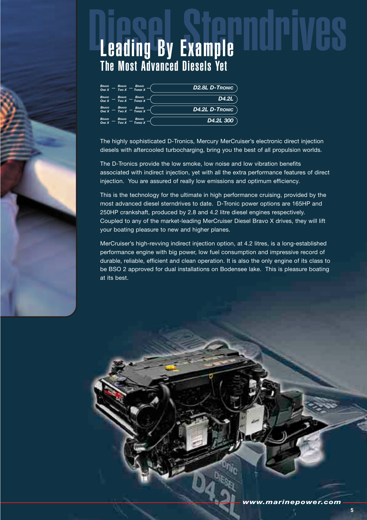

## **Leading By Example** The Most Advanced Diesels Yet

| <b>BRAVO</b><br><b>BRAVO</b><br><b>BRAVO</b><br>Two X<br>THREE X<br><b>ONE X</b> | <b>D2.8L D-TRONIC</b>  |
|----------------------------------------------------------------------------------|------------------------|
| <b>BRAVO</b><br><b>BRAVO</b><br><b>BRAVO</b><br>Two X<br>THREE X<br><b>ONE X</b> | D4.2L                  |
| <b>BRAVO</b><br><b>BRAVO</b><br><b>BRAVO</b><br>Two X<br>THREE X<br><b>ONE X</b> | <b>D4.2L D-TRONIC</b>  |
| <b>BRAVO</b><br><b>BRAVO</b><br><b>BRAVO</b><br>THREE X<br>Two X<br><b>ONE X</b> | D <sub>4.2</sub> L 300 |

The highly sophisticated D-Tronics, Mercury MerCruiser's electronic direct injection diesels with aftercooled turbocharging, bring you the best of all propulsion worlds.

The D-Tronics provide the low smoke, low noise and low vibration benefits associated with indirect injection, yet with all the extra performance features of direct injection. You are assured of really low emissions and optimum efficiency.

This is the technology for the ultimate in high performance cruising, provided by the most advanced diesel sterndrives to date. D-Tronic power options are 165HP and 250HP crankshaft, produced by 2.8 and 4.2 litre diesel engines respectively. Coupled to any of the market-leading MerCruiser Diesel Bravo X drives, they will lift your boating pleasure to new and higher planes.

MerCruiser's high-revving indirect injection option, at 4.2 litres, is a long-established performance engine with big power, low fuel consumption and impressive record of durable, reliable, efficient and clean operation. It is also the only engine of its class to be BSO 2 approved for dual installations on Bodensee lake. This is pleasure boating at its best.

**5**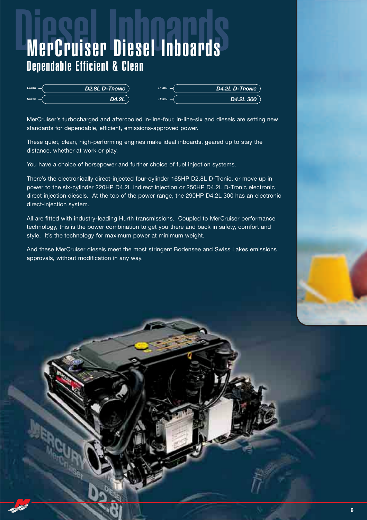## Diesel Inboards MerCruiser Diesel Inboards Dependable Efficient & Clean

| <b>HURTH</b> | D2.8L D-TRONIC | <b>HURTH</b> | <b>D4.2L D-TRONIC</b>  |
|--------------|----------------|--------------|------------------------|
| <b>HURTH</b> | D4.2L          | <b>HURTH</b> | D <sub>4.2</sub> L 300 |

MerCruiser's turbocharged and aftercooled in-line-four, in-line-six and diesels are setting new standards for dependable, efficient, emissions-approved power.

These quiet, clean, high-performing engines make ideal inboards, geared up to stay the distance, whether at work or play.

You have a choice of horsepower and further choice of fuel injection systems.

There's the electronically direct-injected four-cylinder 165HP D2.8L D-Tronic, or move up in power to the six-cylinder 220HP D4.2L indirect injection or 250HP D4.2L D-Tronic electronic direct injection diesels. At the top of the power range, the 290HP D4.2L 300 has an electronic direct-injection system.

All are fitted with industry-leading Hurth transmissions. Coupled to MerCruiser performance technology, this is the power combination to get you there and back in safety, comfort and style. It's the technology for maximum power at minimum weight.

And these MerCruiser diesels meet the most stringent Bodensee and Swiss Lakes emissions approvals, without modification in any way.

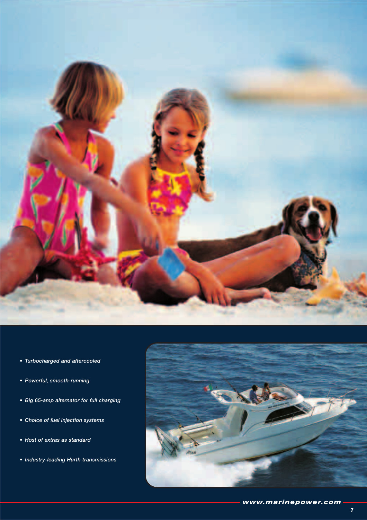

- *Turbocharged and aftercooled*
- *Powerful, smooth-running*
- *Big 65-amp alternator for full charging*
- *Choice of fuel injection systems*
- *Host of extras as standard*
- *Industry-leading Hurth transmissions*

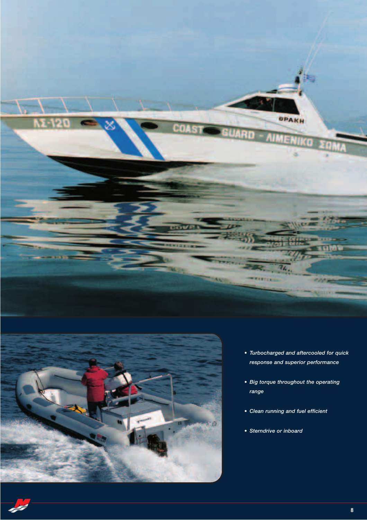



- *Turbocharged and aftercooled for quick response and superior performance*
- *Big torque throughout the operating range*
- *Clean running and fuel efficient*
- *Sterndrive or inboard*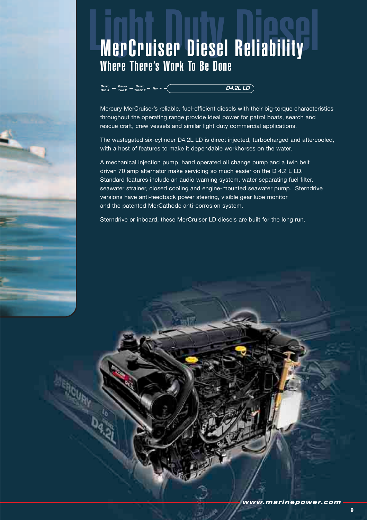## **MerCruiser Diesel Reliability** Where There's Work To Be Done

#### *BRAVO THREE <sup>X</sup> HURTH BRAVO TWO X BRAVO ONE <sup>X</sup> D4.2L LD*

Mercury MerCruiser's reliable, fuel-efficient diesels with their big-torque characteristics throughout the operating range provide ideal power for patrol boats, search and rescue craft, crew vessels and similar light duty commercial applications.

The wastegated six-cylinder D4.2L LD is direct injected, turbocharged and aftercooled, with a host of features to make it dependable workhorses on the water.

A mechanical injection pump, hand operated oil change pump and a twin belt driven 70 amp alternator make servicing so much easier on the D 4.2 L LD. Standard features include an audio warning system, water separating fuel filter, seawater strainer, closed cooling and engine-mounted seawater pump. Sterndrive versions have anti-feedback power steering, visible gear lube monitor and the patented MerCathode anti-corrosion system.

Sterndrive or inboard, these MerCruiser LD diesels are built for the long run.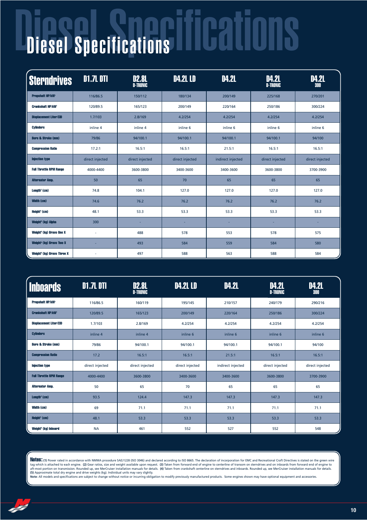# Diesel Specifications Diesel Specifications

| <b>Sterndrives</b>                           | <b>D1.7L DTI</b> | <b>D2.8L</b><br><b>D-TRONIC</b> | <b>D4.2L LD</b> | <b>D4.2L</b>      | <b>D4.2L</b><br><b>D-TRONIC</b> | <b>D4.2L</b><br>300 |
|----------------------------------------------|------------------|---------------------------------|-----------------|-------------------|---------------------------------|---------------------|
| <b>Propshaft HP/kW</b>                       | 116/86.5         | 150/112                         | 180/134         | 200/149           | 225/168                         | 270/201             |
| <b>Crankshaft HP/kW'</b>                     | 120/89.5         | 165/123                         | 200/149         | 220/164           | 250/186                         | 300/224             |
| <b>Displacement Liter/CID</b>                | 1.7/103          | 2.8/169                         | 4.2/254         | 4.2/254           | 4.2/254                         | 4.2/254             |
| <b>Cylinders</b>                             | inline 4         | inline 4                        | inline 6        | inline 6          | inline 6                        | inline 6            |
| <b>Bore &amp; Stroke (mm)</b>                | 79/86            | 94/100.1                        | 94/100.1        | 94/100.1          | 94/100.1                        | 94/100              |
| <b>Compression Ratio</b>                     | 17.2:1           | 16.5:1                          | 16.5:1          | 21.5:1            | 16.5:1                          | 16.5:1              |
| <b>Injection type</b>                        | direct injected  | direct injected                 | direct injected | indirect injected | direct injected                 | direct injected     |
| <b>Full Throttle RPM Range</b>               | 4000-4400        | 3600-3800                       | 3400-3600       | 3400-3600         | 3600-3800                       | 3700-3900           |
| <b>Alternator Amp.</b>                       | 50               | 65                              | 70              | 65                | 65                              | 65                  |
| Length <sup>3</sup> (cm)                     | 74.8             | 104.1                           | 127.0           | 127.0             | 127.0                           | 127.0               |
| <b>Width (cm)</b>                            | 74.6             | 76.2                            | 76.2            | 76.2              | 76.2                            | 76.2                |
| Height <sup>4</sup> (cm)                     | 48.1             | 53.3                            | 53.3            | 53.3              | 53.3                            | 53.3                |
| Weight <sup>s</sup> (kg) Alpha               | 300              |                                 |                 |                   |                                 |                     |
| <b>Weight<sup>6</sup> (kg) Bravo One X</b>   | ×,               | 488                             | 578             | 553               | 578                             | 575                 |
| <b>Weight<sup>s</sup> (kg) Bravo Two X</b>   |                  | 493                             | 584             | 559               | 584                             | 580                 |
| <b>Weight<sup>s</sup> (kg) Bravo Three X</b> |                  | 497                             | 588             | 563               | 588                             | 584                 |

| <b>Inboards</b>                  | <b>D1.7L DTI</b> | <b>D2.8L</b><br><b>D-TRONIC</b> | <b>D4.2L LD</b> | <b>D4.2L</b>      | <b>D4.2L</b><br><b>D-TRONIC</b> | <b>D4.2L</b><br>300 |
|----------------------------------|------------------|---------------------------------|-----------------|-------------------|---------------------------------|---------------------|
| <b>Propshaft HP/kW'</b>          | 116/86.5         | 160/119                         | 195/145         | 210/157           | 240/179                         | 290/216             |
| <b>Crankshaft HP/kW</b>          | 120/89.5         | 165/123                         | 200/149         | 220/164           | 250/186                         | 300/224             |
| <b>Displacement Liter/CID</b>    | 1.7/103          | 2.8/169                         | 4.2/254         | 4.2/254           | 4.2/254                         | 4.2/254             |
| <b>Cvlinders</b>                 | inline 4         | inline 4                        | inline 6        | inline 6          | inline 6                        | inline 6            |
| <b>Bore &amp; Stroke (mm)</b>    | 79/86            | 94/100.1                        | 94/100.1        | 94/100.1          | 94/100.1                        | 94/100              |
| <b>Compression Ratio</b>         | 17.2             | 16.5:1                          | 16.5:1          | 21.5:1            | 16.5:1                          | 16.5:1              |
| <b>Injection type</b>            | direct injected  | direct injected                 | direct injected | indirect injected | direct injected                 | direct injected     |
| <b>Full Throttle RPM Range</b>   | 4000-4400        | 3600-3800                       | 3400-3600       | 3400-3600         | 3600-3800                       | 3700-3900           |
| <b>Alternator Amp.</b>           | 50               | 65                              | 70              | 65                | 65                              | 65                  |
| $L$ ength $3$ (cm)               | 93.5             | 124.4                           | 147.3           | 147.3             | 147.3                           | 147.3               |
| Width (cm)                       | 69               | 71.1                            | 71.1            | 71.1              | 71.1                            | 71.1                |
| Height <sup>4</sup> (cm)         | 48.1             | 53.3                            | 53.3            | 53.3              | 53.3                            | 53.3                |
| Weight <sup>6</sup> (kg) Inboard | <b>NA</b>        | 461                             | 552             | 527               | 552                             | 548                 |

**Notes:** (1) Power rated in accordance with NMMA procedure SAEJ1228 (ISO 3046) and declared according to ISO 8665. The declaration of incorporation for EMC and Recreational Craft Directives is stated on the green wire<br>tag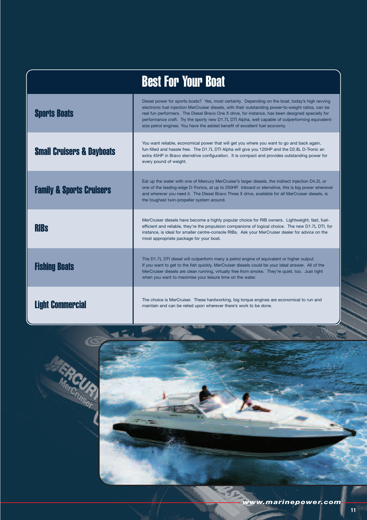|                                      | <b>Best For Your Boat</b>                                                                                                                                                                                                                                                                                                                                                                                                                                                                    |
|--------------------------------------|----------------------------------------------------------------------------------------------------------------------------------------------------------------------------------------------------------------------------------------------------------------------------------------------------------------------------------------------------------------------------------------------------------------------------------------------------------------------------------------------|
| <b>Sports Boats</b>                  | Diesel power for sports boats? Yes, most certainly. Depending on the boat, today's high revving<br>electronic fuel injection MerCruiser diesels, with their outstanding power-to-weight ratios, can be<br>real fun performers. The Diesel Bravo One X drive, for instance, has been designed specially for<br>performance craft. Try the sporty new D1.7L DTI Alpha, well capable of outperforming equivalent-<br>size petrol engines. You have the added benefit of excellent fuel economy. |
| <b>Small Cruisers &amp; Dayboats</b> | You want reliable, economical power that will get you where you want to go and back again,<br>fun-filled and hassle free. The D1.7L DTI Alpha will give you 120HP and the D2.8L D-Tronic an<br>extra 45HP in Bravo sterndrive configuration. It is compact and provides outstanding power for<br>every pound of weight.                                                                                                                                                                      |
| <b>Family &amp; Sports Cruisers</b>  | Eat up the water with one of Mercury MerCruiser's larger diesels, the indirect injection D4.2L or<br>one of the leading-edge D-Tronics, at up to 250HP. Inboard or sterndrive, this is big power whenever<br>and wherever you need it. The Diesel Bravo Three X drive, available for all MerCruiser diesels, is<br>the toughest twin-propeller system around.                                                                                                                                |
| <b>RIBS</b>                          | MerCruiser diesels have become a highly popular choice for RIB owners. Lightweight, fast, fuel-<br>efficient and reliable, they're the propulsion companions of logical choice. The new D1.7L DTI, for<br>instance, is ideal for smaller centre-console RIBs. Ask your MerCruiser dealer for advice on the<br>most appropriate package for your boat.                                                                                                                                        |
| <b>Fishing Boats</b>                 | The D1.7L DTI diesel will outperform many a petrol engine of equivalent or higher output.<br>If you want to get to the fish quickly, MerCruiser diesels could be your ideal answer. All of the<br>MerCruiser diesels are clean running, virtually free from smoke. They're quiet, too. Just right<br>when you want to maximise your leisure time on the water.                                                                                                                               |
| <b>Light Commercial</b>              | The choice is MerCruiser. These hardworking, big torque engines are economical to run and<br>maintain and can be relied upon wherever there's work to be done.                                                                                                                                                                                                                                                                                                                               |





**11**

ъ.,